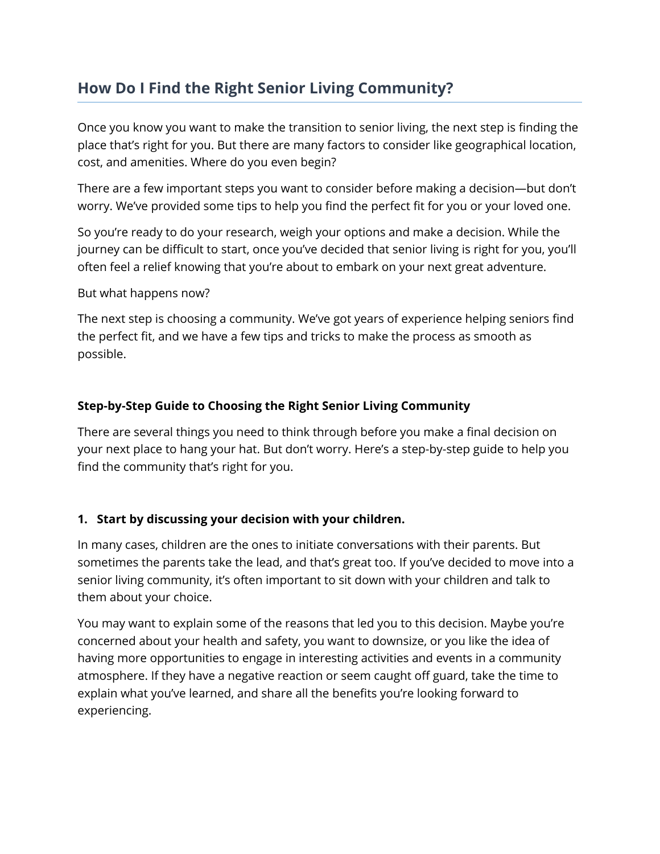# **How Do I Find the Right Senior Living Community?**

Once you know you want to make the transition to senior living, the next step is finding the place that's right for you. But there are many factors to consider like geographical location, cost, and amenities. Where do you even begin?

There are a few important steps you want to consider before making a decision—but don't worry. We've provided some tips to help you find the perfect fit for you or your loved one.

So you're ready to do your research, weigh your options and make a decision. While the journey can be difficult to start, once you've decided that senior living is right for you, you'll often feel a relief knowing that you're about to embark on your next great adventure.

But what happens now?

The next step is choosing a community. We've got years of experience helping seniors find the perfect fit, and we have a few tips and tricks to make the process as smooth as possible.

### **Step-by-Step Guide to Choosing the Right Senior Living Community**

There are several things you need to think through before you make a final decision on your next place to hang your hat. But don't worry. Here's a step-by-step guide to help you find the community that's right for you.

## **1. Start by discussing your decision with your children.**

In many cases, children are the ones to initiate conversations with their parents. But sometimes the parents take the lead, and that's great too. If you've decided to move into a senior living community, it's often important to sit down with your children and talk to them about your choice.

You may want to explain some of the reasons that led you to this decision. Maybe you're concerned about your health and safety, you want to downsize, or you like the idea of having more opportunities to engage in interesting activities and events in a community atmosphere. If they have a negative reaction or seem caught off guard, take the time to explain what you've learned, and share all the benefits you're looking forward to experiencing.